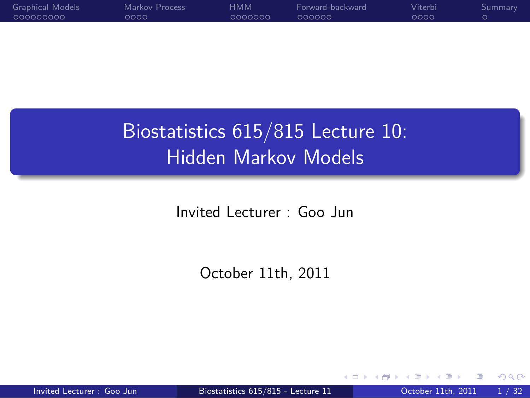> Biostatistics 615/815 Lecture 10: Hidden Markov Models

.

Invited Lecturer : Goo Jun

October 11th, 2011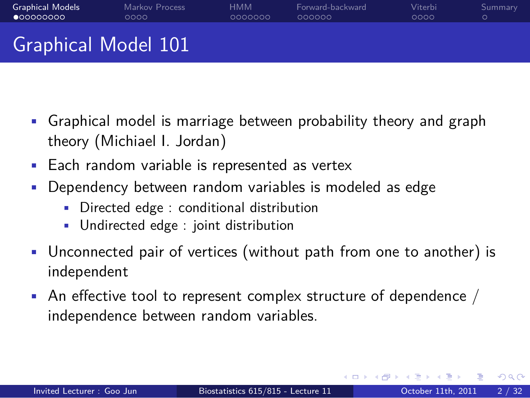### Graphical Model 101

Markov Process<br>0000

Graphical Models<br>●00000000

• Graphical model is marriage between probability theory and graph theory (Michiael I. Jordan)

HMM<br>000000

Forward-backward<br>000000

Viterbi<br>0000

- Each random variable is represented as vertex
- Dependency between random variables is modeled as edge
	- Directed edge : conditional distribution
	- Undirected edge : joint distribution
- Unconnected pair of vertices (without path from one to another) is independent
- An effective tool to represent complex structure of dependence  $/$ independence between random variables.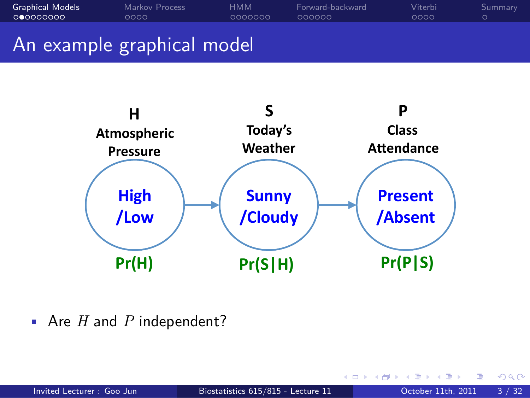#### Graphical Models<br>00000000 Markov Process<br>0000 HMM<br>000000 Forward-backward<br>000000 Viterbi<br>0000 . Summary An example graphical model



• Are *H* and *P* independent?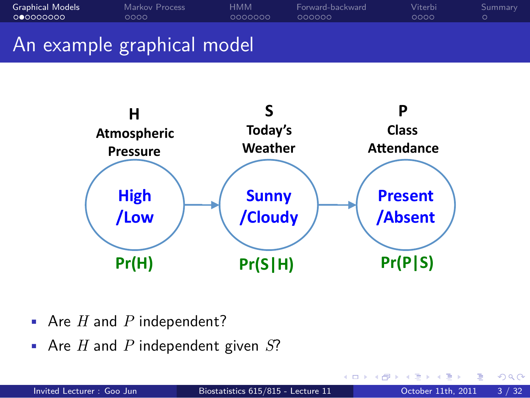#### Graphical Models<br>00000000 Markov Process<br>0000 HMM<br>000000 Forward-backward<br>000000 Viterbi<br>0000 . Summary An example graphical model



- Are *H* and *P* independent?
- Are *H* and *P* independent given *S*?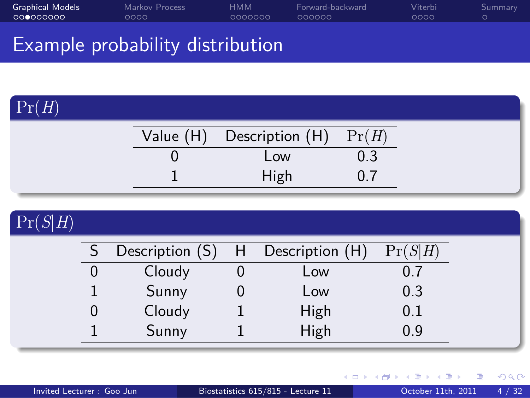#### Graphical Models<br>00000000 Markov Process<br>0000 HMM<br>000000 Forward-backward<br>000000 Viterbi<br>0000 . Summary Example probability distribution

| $\Pr(H)$ |                           |       |  |
|----------|---------------------------|-------|--|
|          | Value (H) Description (H) | Pr(H) |  |
|          | Low                       | U.3   |  |
|          | High                      |       |  |

| Pr(S H) |                 |   |                 |         |  |
|---------|-----------------|---|-----------------|---------|--|
|         | Description (S) | H | Description (H) | Pr(S H) |  |
|         | Cloudy          |   | Low             | 0.7     |  |
|         | Sunny           |   | Low             | 0.3     |  |
|         | Cloudy          |   | High            | 0.1     |  |
|         | Sunny           |   | High            | 0.9     |  |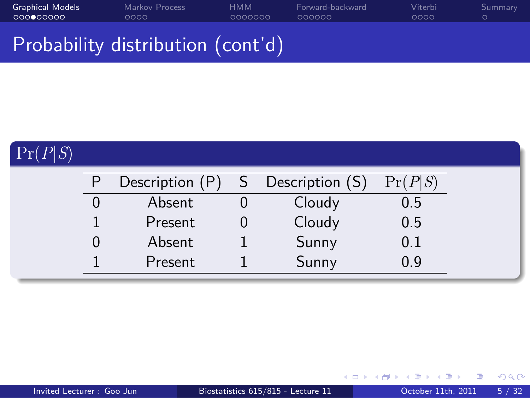#### Graphical Models<br>00000000 Markov Process<br>0000 HMM<br>000000 Forward-backward<br>000000 Viterbi<br>0000 . Summary Probability distribution (cont'd)

| Pr(P S) |                 |                   |         |
|---------|-----------------|-------------------|---------|
|         | Description (P) | S Description (S) | Pr(P S) |
|         | Absent          | Cloudy            | 0.5     |
|         | Present         | Cloudy            | 0.5     |
|         | Absent          | Sunny             | 0.1     |
|         | Present         | Sunny             | 0.9     |
|         |                 |                   |         |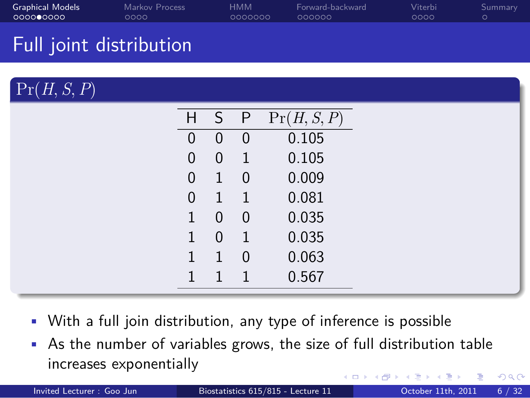| Full joint distribution |          |                            |                |                     |  |
|-------------------------|----------|----------------------------|----------------|---------------------|--|
| Pr(H, S, P)             |          |                            |                |                     |  |
|                         |          |                            |                | H S P $Pr(H, S, P)$ |  |
|                         | $\Omega$ | $\overline{\phantom{0}}$ 0 | $\overline{0}$ | 0.105               |  |
|                         | $\Omega$ | $\theta$                   |                | 0.105               |  |

HMM<br>000000

Graphical Models<br>00000000

Markov Process<br>0000

| 0  | 0 | $\overline{1}$ | 0.105 |  |
|----|---|----------------|-------|--|
| 0  | 1 | 0              | 0.009 |  |
| 0  |   | $\mathbf{1}$   | 0.081 |  |
| 1  | 0 | 0              | 0.035 |  |
| 1. | 0 | 1              | 0.035 |  |
| 1  | 1 | 0              | 0.063 |  |
| 1  |   |                | 0.567 |  |
|    |   |                |       |  |

Forward-backward<br>000000

Viterbi<br>0000

- With a full join distribution, any type of inference is possible
- As the number of variables grows, the size of full distribution table increases exponentially

|                           |                                    | - K □ ▶ K # D → K 로 ▶ K 로 → X 그 → Y Q Q Q |  |
|---------------------------|------------------------------------|-------------------------------------------|--|
| Invited Lecturer: Goo Jun | Biostatistics 615/815 - Lecture 11 | October 11th, 2011 6 / 32                 |  |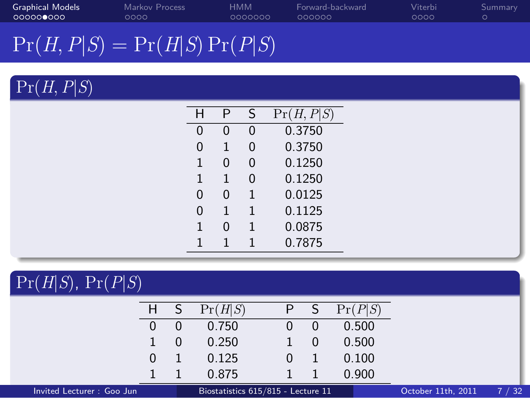| <b>Graphical Models</b> | Markov Process                    | нмм     | Forward-backward | Viterbi | Summary |
|-------------------------|-----------------------------------|---------|------------------|---------|---------|
|                         | ೧೧೧೧                              | 0000000 | 000000           | 0000    |         |
|                         | $\Pr(H, P S) = \Pr(H S) \Pr(P S)$ |         |                  |         |         |

| Pr(H, P S) |                |                |              |            |
|------------|----------------|----------------|--------------|------------|
|            | H              | P              | S            | Pr(H, P S) |
|            | $\overline{0}$ | $\overline{0}$ | $\mathbf 0$  | 0.3750     |
|            | 0              | 1              | $\mathbf 0$  | 0.3750     |
|            | 1              | $\overline{0}$ | $\mathbf 0$  | 0.1250     |
|            | 1              | 1              | $\mathbf 0$  | 0.1250     |
|            | 0              | $\mathbf 0$    | 1            | 0.0125     |
|            | 0              | 1              | $\mathbf{1}$ | 0.1125     |
|            | $\mathbf{1}$   | $\overline{0}$ | 1            | 0.0875     |
|            | 1              | 1              | 1            | 0.7875     |
|            |                |                |              |            |

| $\Pr(H S)$ , $\Pr(P S)$   |    |          |                                    |   |                |         |                    |      |
|---------------------------|----|----------|------------------------------------|---|----------------|---------|--------------------|------|
|                           | H. |          | Pr(H S)                            |   | <sub>S</sub>   | Pr(P S) |                    |      |
|                           | 0  | 0        | 0.750                              | U | 0              | 0.500   |                    |      |
|                           |    | $\Omega$ | 0.250                              |   | $\overline{0}$ | 0.500   |                    |      |
|                           | 0  |          | 0.125                              |   |                | 0.100   |                    |      |
|                           |    |          | 0.875                              |   |                | 0.900   |                    |      |
| Invited Lecturer: Goo Jun |    |          | Biostatistics 615/815 - Lecture 11 |   |                |         | October 11th, 2011 | 7/32 |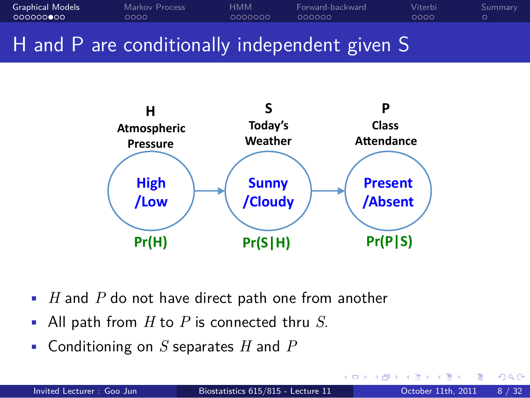



- *H* and *P* do not have direct path one from another
- All path from *H* to *P* is connected thru *S*.
- Conditioning on *S* separates *H* and *P*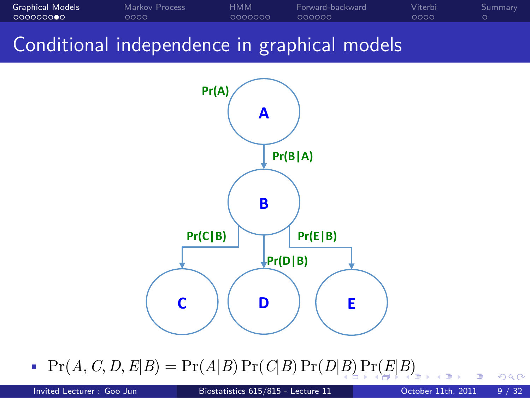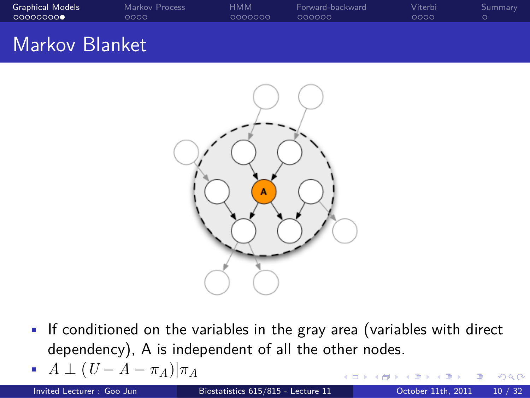

- If conditioned on the variables in the gray area (variables with direct dependency), A is independent of all the other nodes.
- . . . . . . • *A ⊥* (*U − A − πA*)*|π<sup>A</sup>* Invited Lecturer : Goo Jun Biostatistics 615/815 - Lecture 11 Cotober 11th, 2011 10 / 32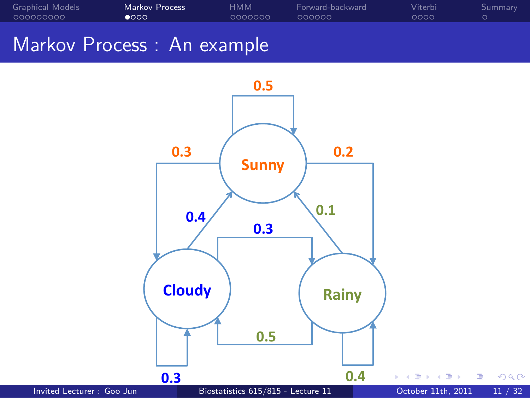

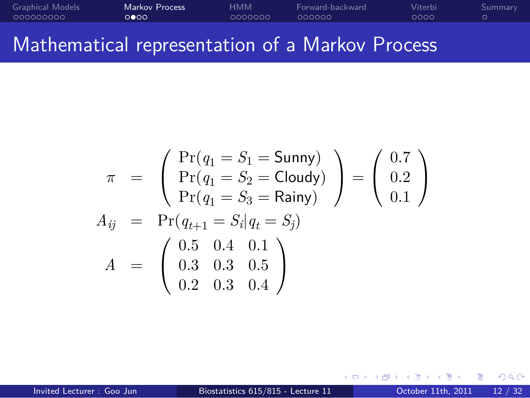#### Graphical Models<br>00000000 Markov Process<br>0000 HMM<br>000000 Forward-backward<br>000000 Viterbi<br>0000 . Summary Mathematical representation of a Markov Process

$$
\pi = \begin{pmatrix} Pr(q_1 = S_1 = \text{Sunny}) \\ Pr(q_1 = S_2 = \text{Cloudy}) \\ Pr(q_1 = S_3 = \text{Rainy}) \end{pmatrix} = \begin{pmatrix} 0.7 \\ 0.2 \\ 0.1 \end{pmatrix}
$$

$$
A_{ij} = Pr(q_{t+1} = S_i | q_t = S_j)
$$

$$
A = \begin{pmatrix} 0.5 & 0.4 & 0.1 \\ 0.3 & 0.3 & 0.5 \\ 0.2 & 0.3 & 0.4 \end{pmatrix}
$$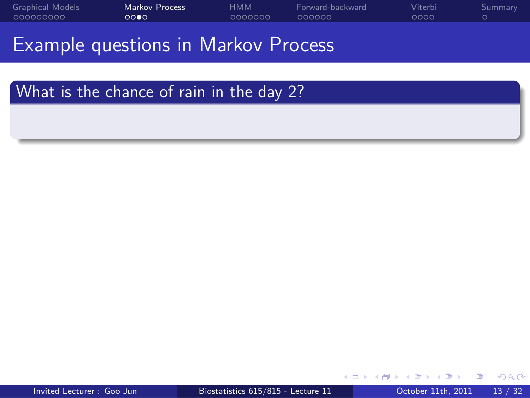Example questions in Markov Process

. What is the chance of rain in the day 2? .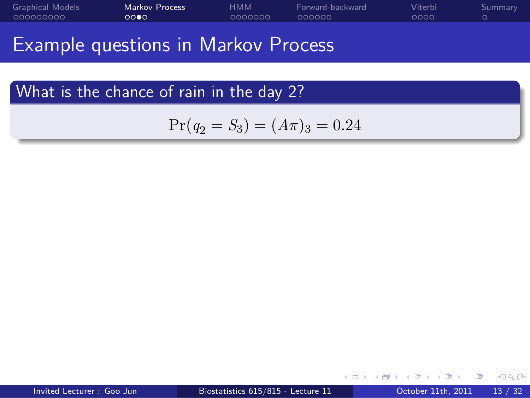Example questions in Markov Process

. What is the chance of rain in the day 2? .

$$
Pr(q_2 = S_3) = (A\pi)_3 = 0.24
$$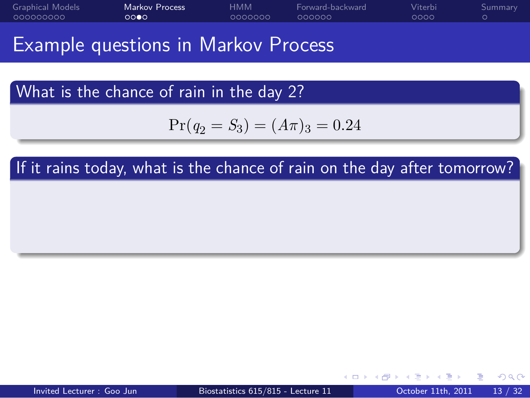Example questions in Markov Process

. What is the chance of rain in the day 2? .

$$
Pr(q_2 = S_3) = (A\pi)_3 = 0.24
$$

If it rains today, what is the chance of rain on the day after tomorrow?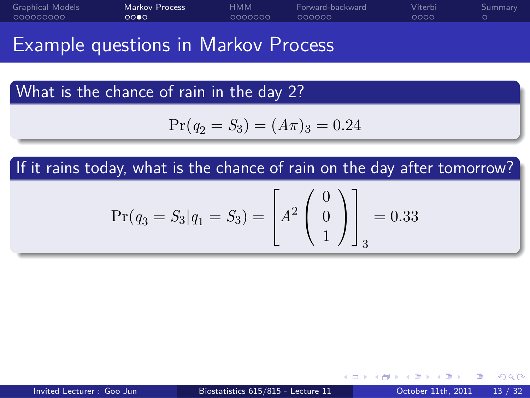Example questions in Markov Process

. What is the chance of rain in the day 2? .

$$
Pr(q_2 = S_3) = (A\pi)_3 = 0.24
$$

If it rains today, what is the chance of rain on the day after tomorrow?

$$
Pr(q_3 = S_3|q_1 = S_3) = \begin{bmatrix} A^2 \begin{pmatrix} 0 \\ 0 \\ 1 \end{pmatrix} \end{bmatrix} = 0.33
$$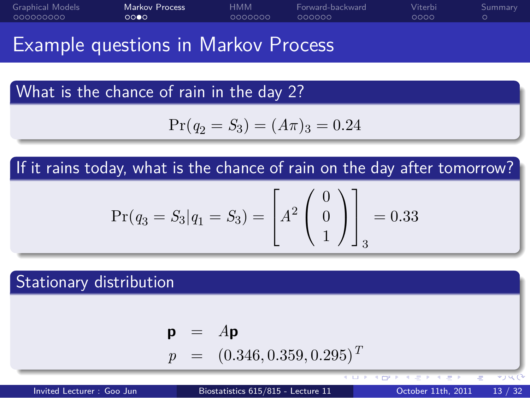Example questions in Markov Process

. What is the chance of rain in the day 2? .

$$
Pr(q_2 = S_3) = (A\pi)_3 = 0.24
$$

If it rains today, what is the chance of rain on the day after tomorrow?

$$
Pr(q_3 = S_3|q_1 = S_3) = \begin{bmatrix} A^2 \begin{pmatrix} 0 \\ 0 \\ 1 \end{pmatrix} \end{bmatrix} = 0.33
$$

. Stationary distribution .

$$
\begin{array}{rcl} \mathbf{p} & = & A\mathbf{p} \\ p & = & (0.346, 0.359, 0.295)^T \end{array}
$$

Invited Lecturer : Goo Jun Biostatistics 615/815 - Lecture 11 0ctober 11th, 2011 13 / 32

. . . . . .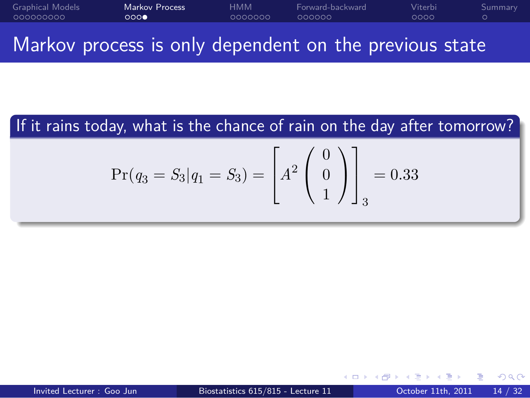#### Graphical Models<br>00000000 Markov Process<br>000**0** HMM<br>000000 Forward-backward<br>000000 Viterbi<br>0000 . Summary Markov process is only dependent on the previous state

If it rains today, what is the chance of rain on the day after tomorrow?

$$
Pr(q_3 = S_3|q_1 = S_3) = \begin{bmatrix} A^2 \begin{pmatrix} 0 \\ 0 \\ 1 \end{pmatrix} \end{bmatrix} = 0.33
$$

(ロ) (<mark>タ</mark>) (ミ) (ミ) - ミ) - 이익<mark>(</mark>) Invited Lecturer : Goo Jun Biostatistics 615/815 - Lecture 11 0 0ctober 11th, 2011 14 / 32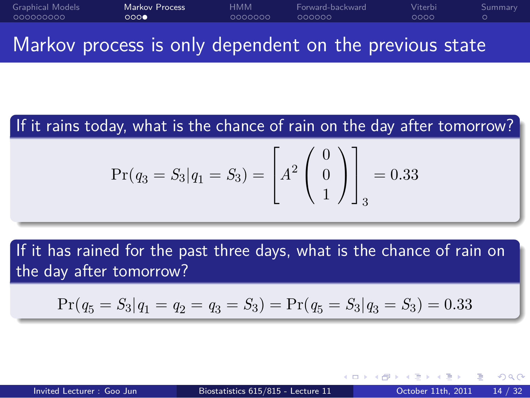#### Graphical Models<br>00000000 Markov Process<br>000**0** HMM<br>000000 Forward-backward<br>000000 Viterbi<br>0000 . Summary Markov process is only dependent on the previous state

.

If it rains today, what is the chance of rain on the day after tomorrow? .

$$
Pr(q_3 = S_3|q_1 = S_3) = \begin{bmatrix} A^2 \begin{pmatrix} 0 \\ 0 \\ 1 \end{pmatrix} \end{bmatrix} = 0.33
$$

. If it has rained for the past three days, what is the chance of rain on the day after tomorrow? .

$$
Pr(q_5 = S_3 | q_1 = q_2 = q_3 = S_3) = Pr(q_5 = S_3 | q_3 = S_3) = 0.33
$$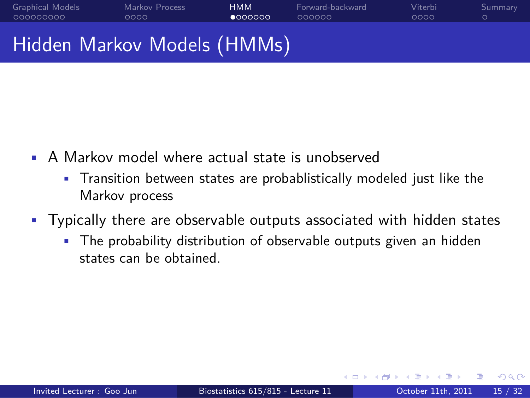## Hidden Markov Models (HMMs)

Markov Process<br>0000

Graphical Models<br>00000000

- A Markov model where actual state is unobserved
	- Transition between states are probablistically modeled just like the Markov process
- Typically there are observable outputs associated with hidden states

HMM<br>● 000000

Forward-backward<br>000000

Viterbi<br>0000

. Summary

• The probability distribution of observable outputs given an hidden states can be obtained.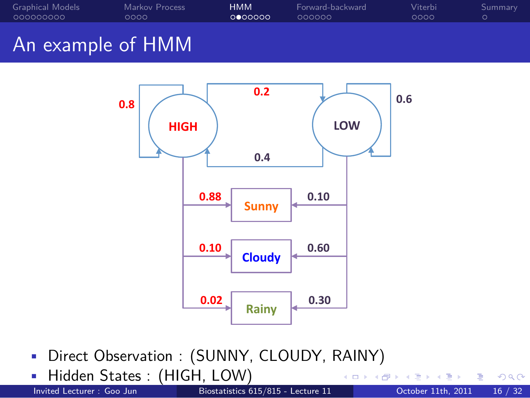

- Direct Observation : (SUNNY, CLOUDY, RAINY)
- . . . . . . **• Hidden States : (HIGH, LOW)**<br>Invited Lecturer : Goo Jun Biostatistics 615/815 - Lecture 11 October 11th, 2011 16 / 32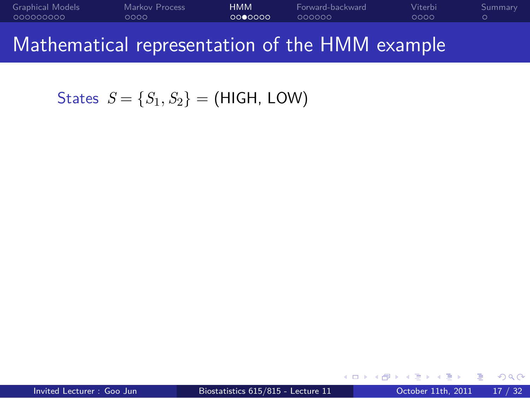$S$ tates  $S = \{S_1, S_2\} = (HIGH, LOW)$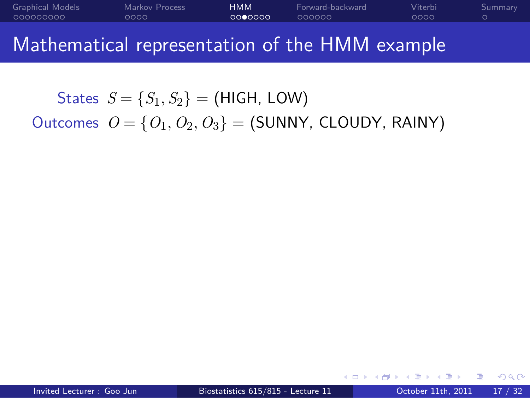States  $S = \{S_1, S_2\} =$  (HIGH, LOW) Outcomes  $O = \{O_1, O_2, O_3\} =$  (SUNNY, CLOUDY, RAINY)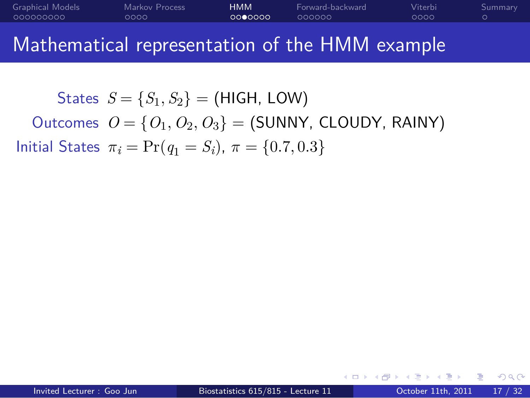States  $S = \{S_1, S_2\} =$  (HIGH, LOW) Outcomes *O* = *{O*1*, O*2*, O*3*}* = (SUNNY, CLOUDY, RAINY) Initial States *π<sup>i</sup>* = Pr(*q*<sup>1</sup> = *Si*), *π* = *{*0*.*7*,* 0*.*3*}*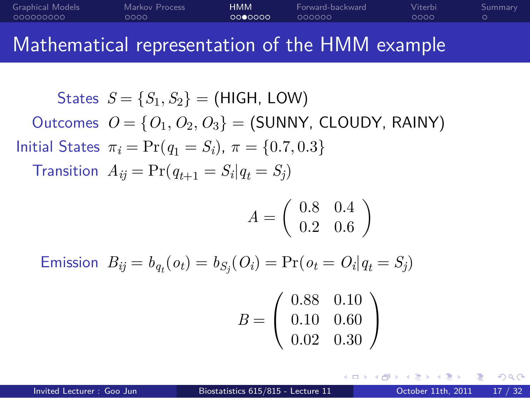$$
\begin{aligned} \text{States} \ \ S &= \{S_1, S_2\} = \text{(HIGH, LOW)}\\ \text{Outcomes} \ \ O &= \{O_1, O_2, O_3\} = \text{(SUMNY, CLOUDY, RAINY)} \end{aligned}
$$

Initial States 
$$
\pi_i = \Pr(q_1 = S_i), \pi = \{0.7, 0.3\}
$$

 $\text{Transition } A_{ij} = \Pr(q_{t+1} = S_i | q_t = S_j)$ 

$$
A=\left(\begin{array}{cc}0.8 & 0.4\\0.2 & 0.6\end{array}\right)
$$

Emission 
$$
B_{ij} = b_{q_t}(o_t) = b_{S_j}(O_i) = Pr(o_t = O_i | q_t = S_j)
$$

$$
B = \left(\begin{array}{cc} 0.88 & 0.10 \\ 0.10 & 0.60 \\ 0.02 & 0.30 \end{array}\right)
$$

 $\left\{ \begin{array}{ccc} \mathbf{0} & \mathbf{0} & \mathbf{0} & \mathbf{0} \end{array} \right.$ Invited Lecturer : Goo Jun Biostatistics 615/815 - Lecture 11 Cotober 11th, 2011 17 / 32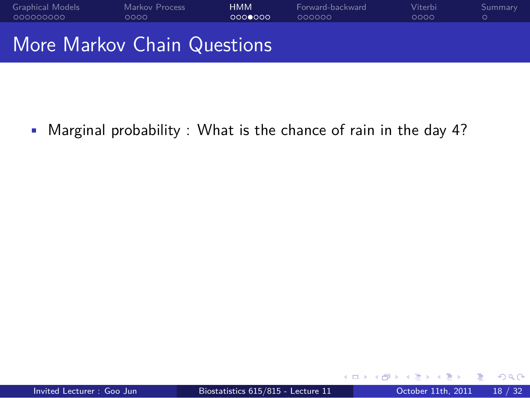

• Marginal probability : What is the chance of rain in the day 4?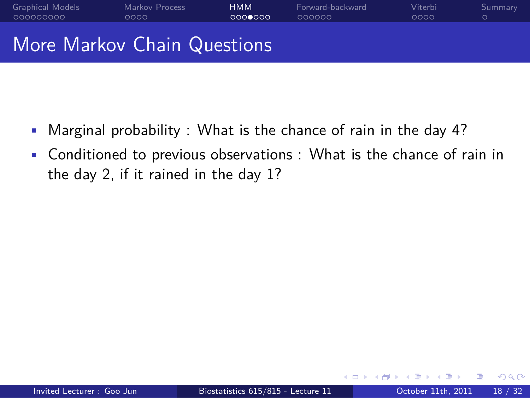#### Graphical Models<br>00000000 Markov Process<br>0000 . . . . . . . HMM Forward-backward<br>000000 Viterbi<br>0000 . Summary More Markov Chain Questions

- Marginal probability : What is the chance of rain in the day 4?
- Conditioned to previous observations : What is the chance of rain in the day 2, if it rained in the day 1?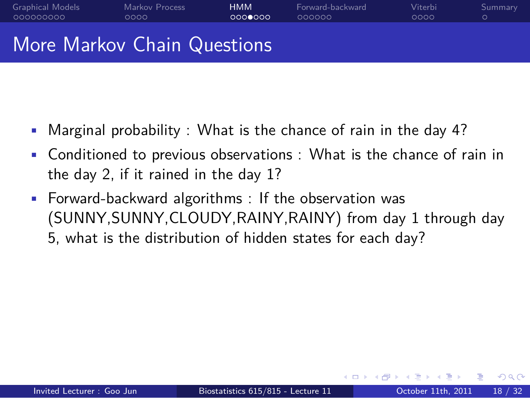#### Graphical Models<br>00000000 Markov Process<br>0000 . . . . . . . HMM Forward-backward<br>000000 Viterbi<br>0000 . More Markov Chain Questions

- Marginal probability : What is the chance of rain in the day 4?
- Conditioned to previous observations : What is the chance of rain in the day 2, if it rained in the day 1?
- Forward-backward algorithms : If the observation was (SUNNY,SUNNY,CLOUDY,RAINY,RAINY) from day 1 through day 5, what is the distribution of hidden states for each day?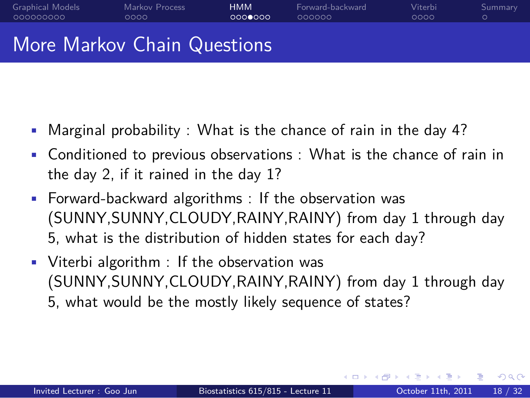### More Markov Chain Questions

Markov Process<br>0000

Graphical Models<br>00000000

• Marginal probability : What is the chance of rain in the day 4?

. . . . . . . HMM

Forward-backward<br>000000

Viterbi<br>0000

- Conditioned to previous observations : What is the chance of rain in the day 2, if it rained in the day 1?
- Forward-backward algorithms : If the observation was (SUNNY,SUNNY,CLOUDY,RAINY,RAINY) from day 1 through day 5, what is the distribution of hidden states for each day?
- Viterbi algorithm : If the observation was (SUNNY,SUNNY,CLOUDY,RAINY,RAINY) from day 1 through day 5, what would be the mostly likely sequence of states?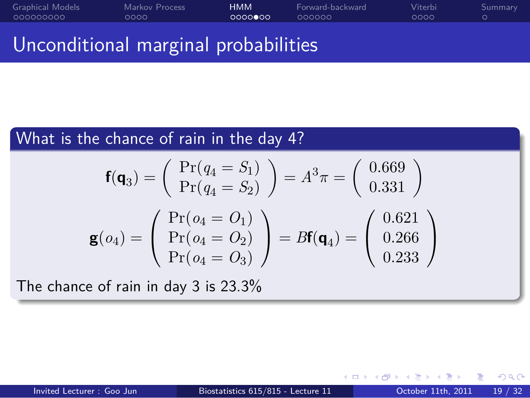#### Graphical Models<br>00000000 Markov Process<br>0000 HMM<br>0000000 Forward-backward<br>000000 Viterbi<br>0000 Unconditional marginal probabilities

. What is the chance of rain in the day 4? . . The chance of rain in day 3 is 23.3%  $f(q_3) = \begin{pmatrix} Pr(q_4 = S_1) \\ Pr(q_4 = S_2) \end{pmatrix}$  $Pr(q_4 = S_2)$  $= A^3 \pi = \begin{pmatrix} 0.669 \\ 0.331 \end{pmatrix}$  $\mathbf{g}(o_4) =$  $\sqrt{ }$  $\mathcal{L}$  $Pr(o_4 = O_1)$  $Pr(o_4 = O_2)$  $Pr(o_4 = O_3)$  $\setminus$  $= B**f**(**q**<sub>4</sub>) =$  $\sqrt{ }$  $\mathcal{L}$ 0*.*621 0*.*266 0*.*233  $\setminus$  $\overline{1}$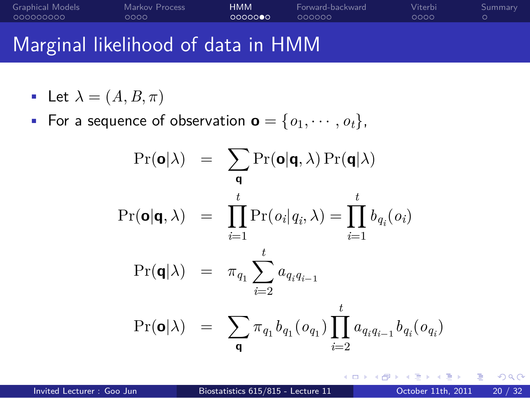### Marginal likelihood of data in HMM

Markov Process<br>0000

• Let  $\lambda = (A, B, \pi)$ 

Graphical Models<br>00000000

• For a sequence of observation  $\mathbf{o} = \{o_1, \dots, o_t\}$ ,

. . . . . . . HMM

Forward-backward<br>000000

$$
\Pr(\mathbf{o}|\lambda) = \sum_{\mathbf{q}} \Pr(\mathbf{o}|\mathbf{q}, \lambda) \Pr(\mathbf{q}|\lambda)
$$
  

$$
\Pr(\mathbf{o}|\mathbf{q}, \lambda) = \prod_{i=1}^{t} \Pr(o_i|q_i, \lambda) = \prod_{i=1}^{t} b_{q_i}(o_i)
$$
  

$$
\Pr(\mathbf{q}|\lambda) = \pi_{q_1} \sum_{i=2}^{t} a_{q_i q_{i-1}}
$$
  

$$
\Pr(\mathbf{o}|\lambda) = \sum_{\mathbf{q}} \pi_{q_1} b_{q_1}(o_{q_1}) \prod_{i=2}^{t} a_{q_i q_{i-1}} b_{q_i}(o_{q_i})
$$

. . . . . .

Viterbi<br>0000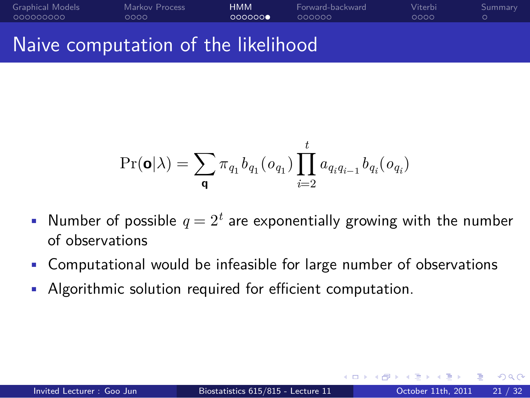### Naive computation of the likelihood

Markov Process<br>0000

Graphical Models<br>00000000

Viterbi<br>0000

. Summary

 $\Pr(\mathbf{o}|\lambda) = \sum$  $\pi_{q_1} b_{q_1} (o_{q_1}) \prod$ *t*  $a_{q_i q_{i-1}} b_{q_i} (o_{q_i})$ 

. . . . . . . HMM

Forward-backward<br>000000

• Number of possible  $q = 2<sup>t</sup>$  are exponentially growing with the number of observations

*i*=2

- Computational would be infeasible for large number of observations
- Algorithmic solution required for efficient computation.

**q**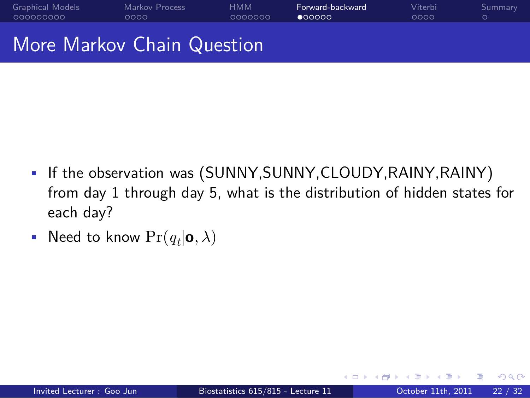#### Graphical Models<br>00000000 Markov Process<br>0000 HMM<br>000000 Forward-backward<br>●○○○○○ Viterbi<br>0000 . Summary More Markov Chain Question

- If the observation was (SUNNY,SUNNY,CLOUDY,RAINY,RAINY) from day 1 through day 5, what is the distribution of hidden states for each day?
- Need to know  $\Pr(q_t | \mathbf{o}, \lambda)$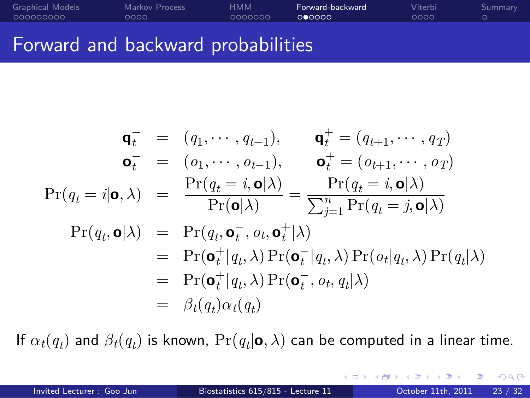#### Graphical Models<br>00000000 Markov Process<br>0000 HMM<br>000000 Forward-backward<br>000000 Viterbi<br>0000 . Summary Forward and backward probabilities

$$
\mathbf{q}_t^- = (q_1, \cdots, q_{t-1}), \qquad \mathbf{q}_t^+ = (q_{t+1}, \cdots, q_T)
$$
  
\n
$$
\mathbf{o}_t^- = (o_1, \cdots, o_{t-1}), \qquad \mathbf{o}_t^+ = (o_{t+1}, \cdots, o_T)
$$
  
\n
$$
\Pr(q_t = i | \mathbf{o}, \lambda) = \frac{\Pr(q_t = i, \mathbf{o} | \lambda)}{\Pr(\mathbf{o} | \lambda)} = \frac{\Pr(q_t = i, \mathbf{o} | \lambda)}{\sum_{j=1}^n \Pr(q_t = j, \mathbf{o} | \lambda)}
$$
  
\n
$$
\Pr(q_t, \mathbf{o} | \lambda) = \Pr(q_t, \mathbf{o}_t^-, o_t, \mathbf{o}_t^+ | \lambda)
$$
  
\n
$$
= \Pr(\mathbf{o}_t^+ | q_t, \lambda) \Pr(\mathbf{o}_t^- | q_t, \lambda) \Pr(o_t | q_t, \lambda) \Pr(q_t | \lambda)
$$
  
\n
$$
= \Pr(\mathbf{o}_t^+ | q_t, \lambda) \Pr(\mathbf{o}_t^-, o_t, q_t | \lambda)
$$
  
\n
$$
= \beta_t(q_t) \alpha_t(q_t)
$$

If  $\alpha_t(q_t)$  and  $\beta_t(q_t)$  is known,  $\Pr(q_t|\mathbf{o}, \lambda)$  can be computed in a linear time.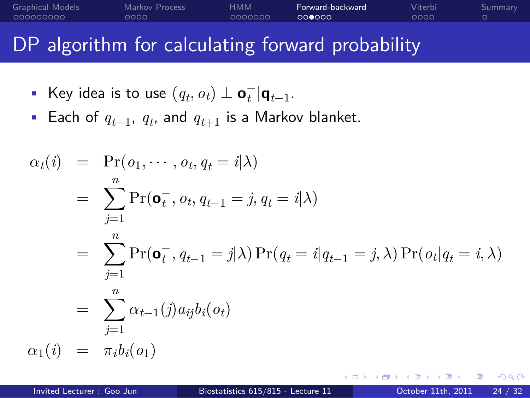## DP algorithm for calculating forward probability

HMM<br>000000

Forward-backward<br>000000

Viterbi<br>0000

. Summary

• Key idea is to use  $(q_t, o_t) \perp \mathbf{o}_t^- | \mathbf{q}_{t-1}.$ 

Markov Process<br>0000

Graphical Models<br>00000000

• Each of *<sup>q</sup>t−*<sup>1</sup> , *q<sup>t</sup>* , and *qt*+1 is a Markov blanket.

$$
\alpha_t(i) = \Pr(o_1, \dots, o_t, q_t = i | \lambda)
$$
  
\n
$$
= \sum_{j=1}^n \Pr(\mathbf{o}_t^-, o_t, q_{t-1} = j, q_t = i | \lambda)
$$
  
\n
$$
= \sum_{j=1}^n \Pr(\mathbf{o}_t^-, q_{t-1} = j | \lambda) \Pr(q_t = i | q_{t-1} = j, \lambda) \Pr(o_t | q_t = i, \lambda)
$$
  
\n
$$
= \sum_{j=1}^n \alpha_{t-1}(j) a_{ij} b_i(o_t)
$$
  
\n
$$
\alpha_1(i) = \pi_i b_i(o_1)
$$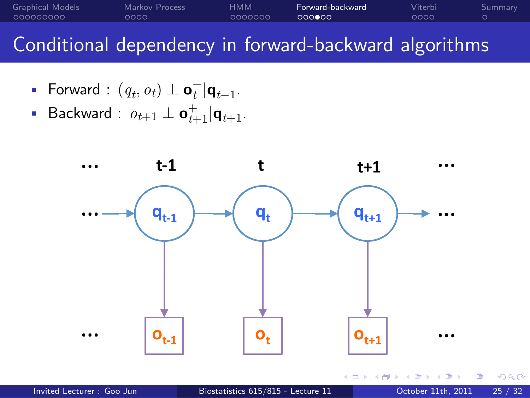#### Graphical Models<br>00000000 Markov Process<br>0000 HMM<br>000000 Forward-backward<br>000000 Viterbi<br>0000 . Summary Conditional dependency in forward-backward algorithms

- Forward :  $(q_t, o_t) \perp \mathbf{o}_t^- | \mathbf{q}_{t-1}$ .
- Backward : *ot*+1 *⊥* **o** + *<sup>t</sup>*+1*|***q***t*+1.

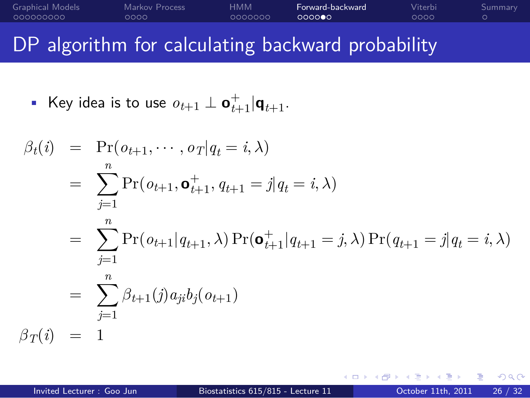#### Graphical Models<br>00000000 Markov Process<br>0000 HMM<br>000000 Forward-backward<br>000000 Viterbi<br>0000 DP algorithm for calculating backward probability

. Summary

■ Key idea is to use  $o_{t+1} \perp \mathbf{o}_{t+1}^+ | \mathbf{q}_{t+1}$ .

$$
\beta_t(i) = \Pr(o_{t+1}, \dots, o_T | q_t = i, \lambda)
$$
  
\n
$$
= \sum_{j=1}^n \Pr(o_{t+1}, \mathbf{o}_{t+1}^+, q_{t+1} = j | q_t = i, \lambda)
$$
  
\n
$$
= \sum_{j=1}^n \Pr(o_{t+1} | q_{t+1}, \lambda) \Pr(\mathbf{o}_{t+1}^+ | q_{t+1} = j, \lambda) \Pr(q_{t+1} = j | q_t = i, \lambda)
$$
  
\n
$$
= \sum_{j=1}^n \beta_{t+1}(j) a_{ji} b_j(o_{t+1})
$$
  
\n
$$
\beta_T(i) = 1
$$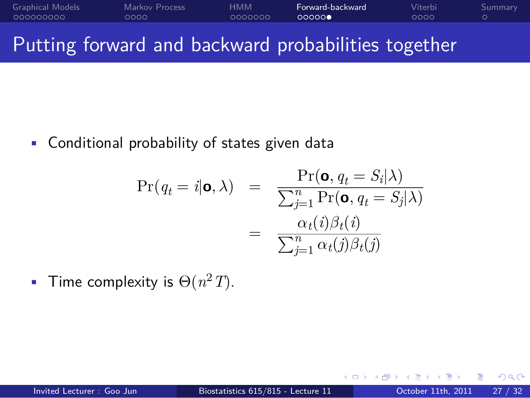#### Graphical Models<br>00000000 Markov Process<br>0000 HMM<br>000000 Forward-backward<br>000000 Viterbi<br>0000 . Summary Putting forward and backward probabilities together

• Conditional probability of states given data

$$
\Pr(q_t = i | \mathbf{o}, \lambda) = \frac{\Pr(\mathbf{o}, q_t = S_i | \lambda)}{\sum_{j=1}^n \Pr(\mathbf{o}, q_t = S_j | \lambda)}
$$

$$
= \frac{\alpha_t(i)\beta_t(i)}{\sum_{j=1}^n \alpha_t(j)\beta_t(j)}
$$

• Time complexity is  $\Theta(n^2T)$ .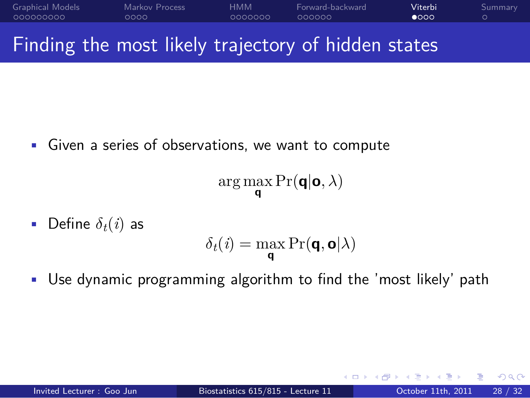#### Graphical Models<br>00000000 Markov Process<br>0000 HMM<br>000000 Forward-backward<br>000000 Viterbi<br>●○○○ . Summary Finding the most likely trajectory of hidden states

• Given a series of observations, we want to compute

$$
\arg\max_{\textbf{q}}\Pr(\textbf{q}|\textbf{o},\lambda)
$$

• Define  $\delta_t(i)$  as

$$
\delta_t(i) = \max_{\mathbf{q}} \Pr(\mathbf{q}, \mathbf{o} | \lambda)
$$

• Use dynamic programming algorithm to find the 'most likely' path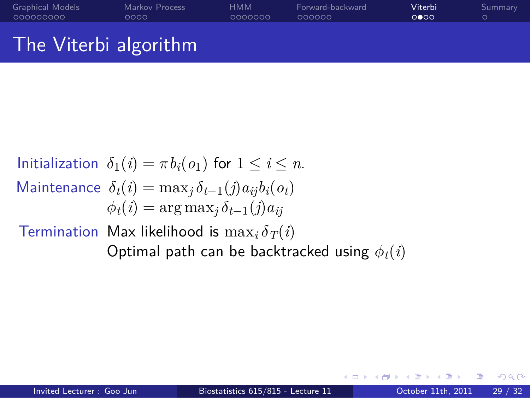Initialization  $\delta_1(i) = \pi b_i(o_1)$  for  $1 \leq i \leq n$ . Maintenance  $\delta_t(i) = \max_j \delta_{t-1}(j) a_{ij} b_i(o_t)$  $\phi_t(i) = \arg \max_j \delta_{t-1}(j) a_{ij}$ Termination Max likelihood is  $\max_i \delta_T(i)$ Optimal path can be backtracked using *ϕt*(*i*)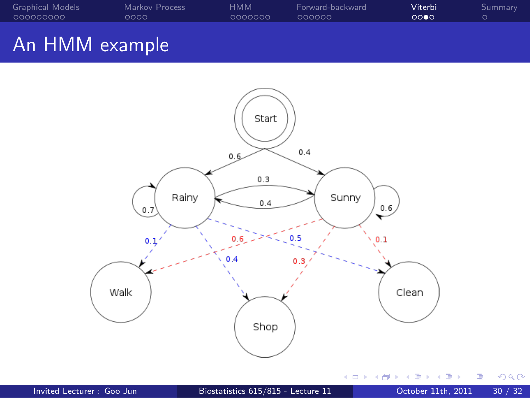



. . . . . . Invited Lecturer : Goo Jun Biostatistics 615/815 - Lecture 11 October 11th, 2011 30 / 32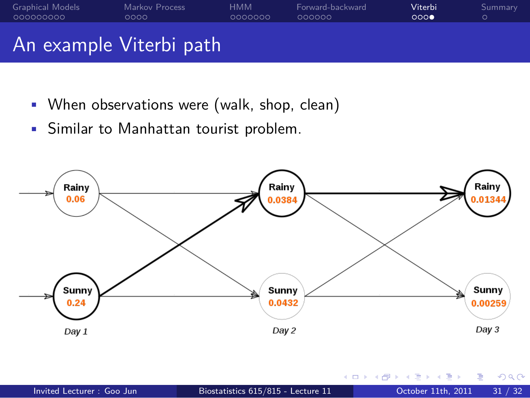

- When observations were (walk, shop, clean)
- Similar to Manhattan tourist problem.



|                           |                                    | - K □ ▶ K @ ▶ K 로 ▶ K 로 ▶ - 로 - K) Q (0 |  |
|---------------------------|------------------------------------|-----------------------------------------|--|
| Invited Lecturer: Goo Jun | Biostatistics 615/815 - Lecture 11 | October 11th, 2011 31 / 32              |  |